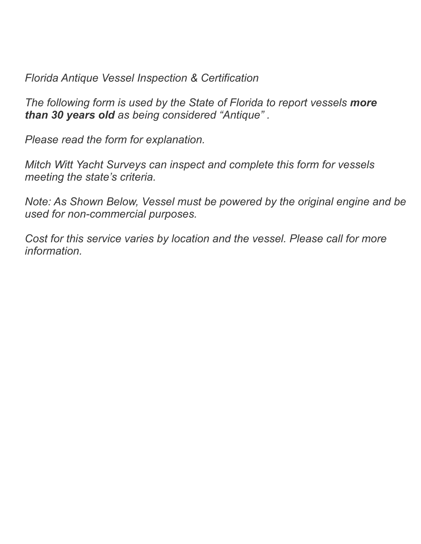*Florida Antique Vessel Inspection & Certification* 

*The following form is used by the State of Florida to report vessels more than 30 years old as being considered "Antique" .* 

*Please read the form for explanation.* 

*Mitch Witt Yacht Surveys can inspect and complete this form for vessels meeting the state's criteria.* 

*Note: As Shown Below, Vessel must be powered by the original engine and be used for non-commercial purposes.* 

*Cost for this service varies by location and the vessel. Please call for more information.*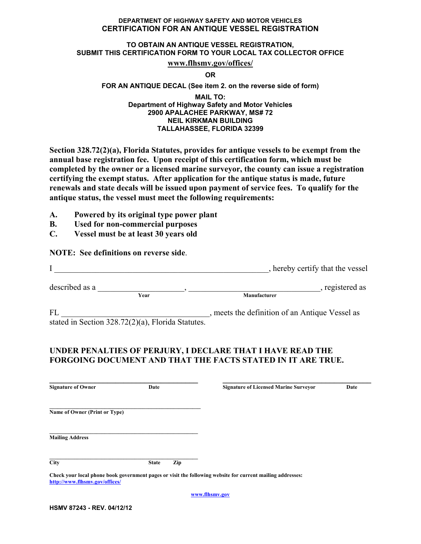### **DEPARTMENT OF HIGHWAY SAFETY AND MOTOR VEHICLES CERTIFICATION FOR AN ANTIQUE VESSEL REGISTRATION**

# **TO OBTAIN AN ANTIQUE VESSEL REGISTRATION, SUBMIT THIS CERTIFICATION FORM TO YOUR LOCAL TAX COLLECTOR OFFICE**

## **www.flhsmv.gov/offices/**

**OR** 

**FOR AN ANTIQUE DECAL (See item 2. on the reverse side of form)** 

**MAIL TO: Department of Highway Safety and Motor Vehicles 2900 APALACHEE PARKWAY, MS# 72 NEIL KIRKMAN BUILDING TALLAHASSEE, FLORIDA 32399** 

**Section 328.72(2)(a), Florida Statutes, provides for antique vessels to be exempt from the annual base registration fee. Upon receipt of this certification form, which must be completed by the owner or a licensed marine surveyor, the county can issue a registration certifying the exempt status. After application for the antique status is made, future renewals and state decals will be issued upon payment of service fees. To qualify for the antique status, the vessel must meet the following requirements:** 

- **A. Powered by its original type power plant**
- **B. Used for non-commercial purposes**
- **C. Vessel must be at least 30 years old**

**NOTE: See definitions on reverse side**.

|                |      | hereby certify that the vessel               |
|----------------|------|----------------------------------------------|
| described as a | Year | registered as<br>Manufacturer                |
| FL             |      | meets the definition of an Antique Vessel as |

stated in Section 328.72(2)(a), Florida Statutes.

# **UNDER PENALTIES OF PERJURY, I DECLARE THAT I HAVE READ THE FORGOING DOCUMENT AND THAT THE FACTS STATED IN IT ARE TRUE.**

| <b>Signature of Owner</b>     | Date         |     | <b>Signature of Licensed Marine Surveyor</b> | Date |
|-------------------------------|--------------|-----|----------------------------------------------|------|
| Name of Owner (Print or Type) |              |     |                                              |      |
| <b>Mailing Address</b>        |              |     |                                              |      |
| <b>City</b>                   | <b>State</b> | Zip |                                              |      |

**www.flhsmv.gov**